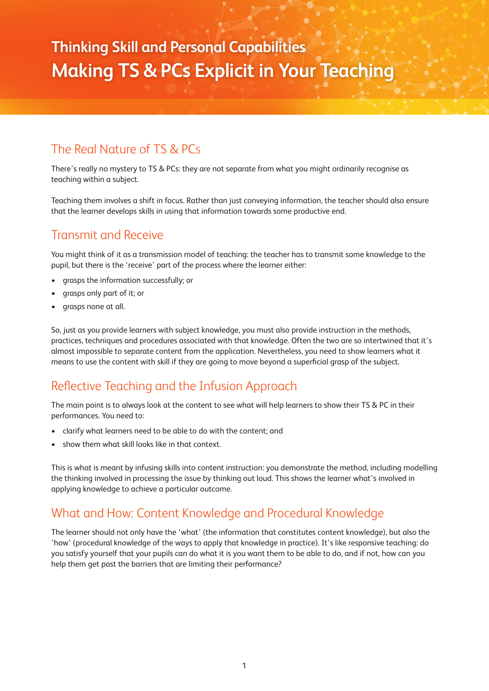# **Thinking Skill and Personal Capabilities Making TS & PCs Explicit in Your Teaching**

## The Real Nature of TS & PCs

There's really no mystery to TS & PCs: they are not separate from what you might ordinarily recognise as teaching within a subject.

Teaching them involves a shift in focus. Rather than just conveying information, the teacher should also ensure that the learner develops skills in using that information towards some productive end.

## Transmit and Receive

You might think of it as a transmission model of teaching: the teacher has to transmit some knowledge to the pupil, but there is the 'receive' part of the process where the learner either:

- grasps the information successfully; or
- grasps only part of it; or
- grasps none at all.

So, just as you provide learners with subject knowledge, you must also provide instruction in the methods, practices, techniques and procedures associated with that knowledge. Often the two are so intertwined that it's almost impossible to separate content from the application. Nevertheless, you need to show learners what it means to use the content with skill if they are going to move beyond a superficial grasp of the subject.

## Reflective Teaching and the Infusion Approach

The main point is to always look at the content to see what will help learners to show their TS & PC in their performances. You need to:

- clarify what learners need to be able to do with the content; and
- show them what skill looks like in that context.

This is what is meant by infusing skills into content instruction: you demonstrate the method, including modelling the thinking involved in processing the issue by thinking out loud. This shows the learner what's involved in applying knowledge to achieve a particular outcome.

#### What and How: Content Knowledge and Procedural Knowledge

The learner should not only have the 'what' (the information that constitutes content knowledge), but also the 'how' (procedural knowledge of the ways to apply that knowledge in practice). It's like responsive teaching: do you satisfy yourself that your pupils can do what it is you want them to be able to do, and if not, how can you help them get past the barriers that are limiting their performance?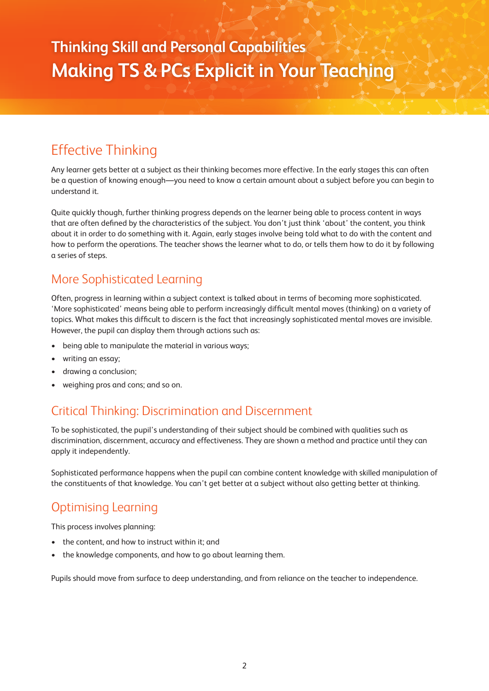# Effective Thinking

Any learner gets better at a subject as their thinking becomes more effective. In the early stages this can often be a question of knowing enough—you need to know a certain amount about a subject before you can begin to understand it.

Quite quickly though, further thinking progress depends on the learner being able to process content in ways that are often defined by the characteristics of the subject. You don't just think 'about' the content, you think about it in order to do something with it. Again, early stages involve being told what to do with the content and how to perform the operations. The teacher shows the learner what to do, or tells them how to do it by following a series of steps.

### More Sophisticated Learning

Often, progress in learning within a subject context is talked about in terms of becoming more sophisticated. 'More sophisticated' means being able to perform increasingly difficult mental moves (thinking) on a variety of topics. What makes this difficult to discern is the fact that increasingly sophisticated mental moves are invisible. However, the pupil can display them through actions such as:

- being able to manipulate the material in various ways;
- writing an essay;
- drawing a conclusion;
- weighing pros and cons; and so on.

## Critical Thinking: Discrimination and Discernment

To be sophisticated, the pupil's understanding of their subject should be combined with qualities such as discrimination, discernment, accuracy and effectiveness. They are shown a method and practice until they can apply it independently.

Sophisticated performance happens when the pupil can combine content knowledge with skilled manipulation of the constituents of that knowledge. You can't get better at a subject without also getting better at thinking.

## Optimising Learning

This process involves planning:

- the content, and how to instruct within it; and
- the knowledge components, and how to go about learning them.

Pupils should move from surface to deep understanding, and from reliance on the teacher to independence.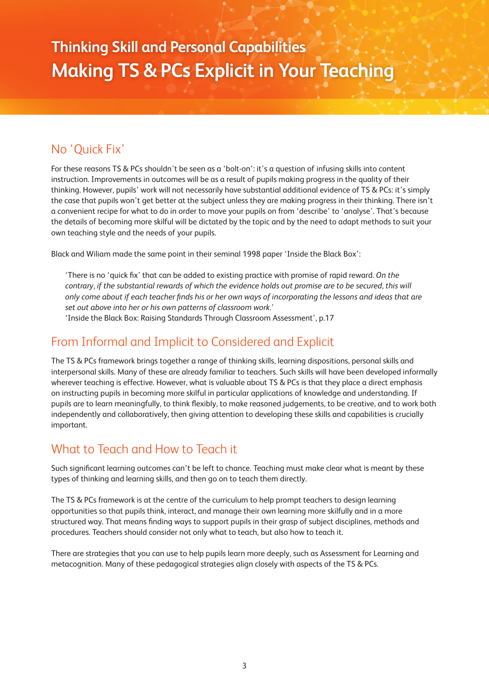### No 'Quick Fix'

For these reasons TS & PCs shouldn't be seen as a 'bolt-on': it's a question of infusing skills into content instruction. Improvements in outcomes will be as a result of pupils making progress in the quality of their thinking. However, pupils' work will not necessarily have substantial additional evidence of TS & PCs: it's simply the case that pupils won't get better at the subject unless they are making progress in their thinking. There isn't a convenient recipe for what to do in order to move your pupils on from 'describe' to 'analyse'. That's because the details of becoming more skilful will be dictated by the topic and by the need to adapt methods to suit your own teaching style and the needs of your pupils.

Black and Wiliam made the same point in their seminal 1998 paper 'Inside the Black Box':

'There is no 'quick fix' that can be added to existing practice with promise of rapid reward. *On the contrary, if the substantial rewards of which the evidence holds out promise are to be secured, this will only come about if each teacher finds his or her own ways of incorporating the lessons and ideas that are set out above into her or his own patterns of classroom work.*'

'Inside the Black Box: Raising Standards Through Classroom Assessment', p.17

#### From Informal and Implicit to Considered and Explicit

The TS & PCs framework brings together a range of thinking skills, learning dispositions, personal skills and interpersonal skills. Many of these are already familiar to teachers. Such skills will have been developed informally wherever teaching is effective. However, what is valuable about TS & PCs is that they place a direct emphasis on instructing pupils in becoming more skilful in particular applications of knowledge and understanding. If pupils are to learn meaningfully, to think flexibly, to make reasoned judgements, to be creative, and to work both independently and collaboratively, then giving attention to developing these skills and capabilities is crucially important.

#### What to Teach and How to Teach it

Such significant learning outcomes can't be left to chance. Teaching must make clear what is meant by these types of thinking and learning skills, and then go on to teach them directly.

The TS & PCs framework is at the centre of the curriculum to help prompt teachers to design learning opportunities so that pupils think, interact, and manage their own learning more skilfully and in a more structured way. That means finding ways to support pupils in their grasp of subject disciplines, methods and procedures. Teachers should consider not only what to teach, but also how to teach it.

There are strategies that you can use to help pupils learn more deeply, such as Assessment for Learning and metacognition. Many of these pedagogical strategies align closely with aspects of the TS & PCs.